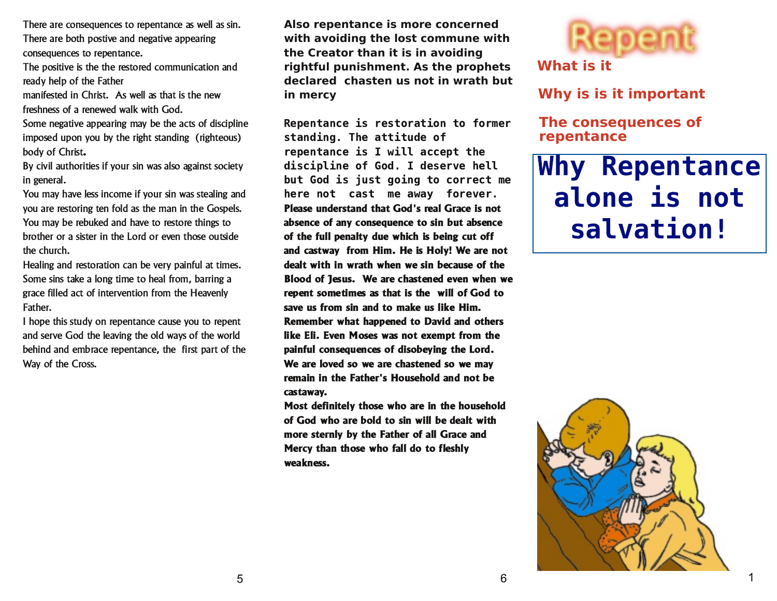There are consequences to repentance as well as sin. There are both postive and negative appearing consequences to repentance.

The positive is the the restored communication and ready help of the Father

manifested in Christ. As well as that is the new freshness of a renewed walk with God.

Some negative appearing may be the acts of discipline imposed upon you by the right standing (righteous) body of Christ.

By civil authorities if your sin was also against society in general.

You may have less income if your sin was stealing and you are restoring ten fold as the man in the Gospels. You may be rebuked and have to restore things to brother or a sister in the Lord or even those outside the church.

Healing and restoration can be very painful at times. Some sins take a long time to heal from, barring a grace filled act of intervention from the Heavenly Father.

I hope this study on repentance cause you to repent and serve God the leaving the old ways of the world behind and embrace repentance, the first part of the Way of the Cross.

**Also repentance is more concerned with avoiding the lost commune with the Creator than it is in avoiding rightful punishment. As the prophets declared chasten us not in wrath but in mercy**

Repentance is restoration to former standing. The attitude of repentance is I will accept the discipline of God. I deserve hell but God is just going to correct me here not cast me away forever. Please understand that God's real Grace is not absence of any consequence to sin but absence of the full penalty due which is being cut off and castway from Him. He is Holy! We are not dealt with in wrath when we sin because of the Blood of Tesus. We are chastened even when we repent sometimes as that is the will of God to save us from sin and to make us like Him. Remember what happened to David and others like Eli. Even Moses was not exempt from the painful consequences of disobeying the Lord. We are loved so we are chastened so we may remain in the Father's Household and not be castaway.

Most definitely those who are in the household of God who are bold to sin will be dealt with more sternly by the Father of all Grace and Mercy than those who fall do to fleshly weakness.



#### **What is it**

**Why is is it important**

**The consequences of repentance**

# **Why Repentance** alone is not salvation!